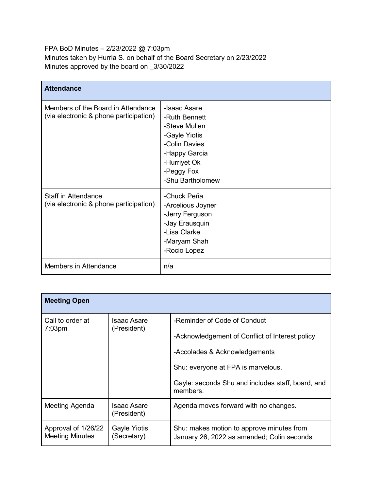FPA BoD Minutes – 2/23/2022 @ 7:03pm Minutes taken by Hurria S. on behalf of the Board Secretary on 2/23/2022 Minutes approved by the board on \_3/30/2022

| <b>Attendance</b>                                                            |                                                                                                                                                     |
|------------------------------------------------------------------------------|-----------------------------------------------------------------------------------------------------------------------------------------------------|
| Members of the Board in Attendance<br>(via electronic & phone participation) | -Isaac Asare<br>-Ruth Bennett<br>-Steve Mullen<br>-Gayle Yiotis<br>-Colin Davies<br>-Happy Garcia<br>-Hurriyet Ok<br>-Peggy Fox<br>-Shu Bartholomew |
| <b>Staff in Attendance</b><br>(via electronic & phone participation)         | -Chuck Peña<br>-Arcelious Joyner<br>-Jerry Ferguson<br>-Jay Erausquin<br>-Lisa Clarke<br>-Maryam Shah<br>-Rocio Lopez                               |
| Members in Attendance                                                        | n/a                                                                                                                                                 |

| <b>Meeting Open</b>                           |                                    |                                                                                                                                                                                                                         |
|-----------------------------------------------|------------------------------------|-------------------------------------------------------------------------------------------------------------------------------------------------------------------------------------------------------------------------|
| Call to order at<br>$7:03$ pm                 | Isaac Asare<br>(President)         | -Reminder of Code of Conduct<br>-Acknowledgement of Conflict of Interest policy<br>-Accolades & Acknowledgements<br>Shu: everyone at FPA is marvelous.<br>Gayle: seconds Shu and includes staff, board, and<br>members. |
| Meeting Agenda                                | Isaac Asare<br>(President)         | Agenda moves forward with no changes.                                                                                                                                                                                   |
| Approval of 1/26/22<br><b>Meeting Minutes</b> | <b>Gayle Yiotis</b><br>(Secretary) | Shu: makes motion to approve minutes from<br>January 26, 2022 as amended; Colin seconds.                                                                                                                                |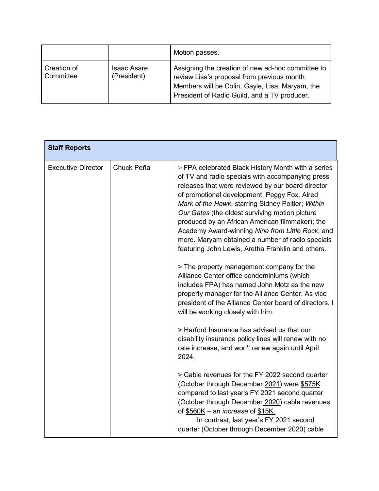|                          |                                   | Motion passes.                                                                                                                                                                                      |
|--------------------------|-----------------------------------|-----------------------------------------------------------------------------------------------------------------------------------------------------------------------------------------------------|
| Creation of<br>Committee | <b>Isaac Asare</b><br>(President) | Assigning the creation of new ad-hoc committee to<br>review Lisa's proposal from previous month.<br>Members will be Colin, Gayle, Lisa, Maryam, the<br>President of Radio Guild, and a TV producer. |

| <b>Staff Reports</b>      |            |                                                                                                                                                                                                                                                                                                                                                                                                                                                                                                                                    |
|---------------------------|------------|------------------------------------------------------------------------------------------------------------------------------------------------------------------------------------------------------------------------------------------------------------------------------------------------------------------------------------------------------------------------------------------------------------------------------------------------------------------------------------------------------------------------------------|
| <b>Executive Director</b> | Chuck Peña | > FPA celebrated Black History Month with a series<br>of TV and radio specials with accompanying press<br>releases that were reviewed by our board director<br>of promotional development, Peggy Fox. Aired<br>Mark of the Hawk, starring Sidney Poitier; Within<br>Our Gates (the oldest surviving motion picture<br>produced by an African American filmmaker); the<br>Academy Award-winning Nine from Little Rock; and<br>more. Maryam obtained a number of radio specials<br>featuring John Lewis, Aretha Franklin and others. |
|                           |            | > The property management company for the<br>Alliance Center office condominiums (which<br>includes FPA) has named John Motz as the new<br>property manager for the Alliance Center. As vice<br>president of the Alliance Center board of directors, I<br>will be working closely with him.                                                                                                                                                                                                                                        |
|                           |            | > Harford Insurance has advised us that our<br>disability insurance policy lines will renew with no<br>rate increase, and won't renew again until April<br>2024.                                                                                                                                                                                                                                                                                                                                                                   |
|                           |            | > Cable revenues for the FY 2022 second quarter<br>(October through December 2021) were \$575K<br>compared to last year's FY 2021 second quarter<br>(October through December 2020) cable revenues<br>of \$560K - an <i>increase</i> of \$15K.<br>In contrast, last year's FY 2021 second<br>quarter (October through December 2020) cable                                                                                                                                                                                         |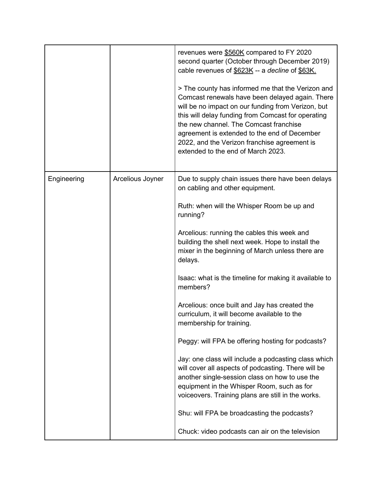|             |                  | revenues were \$560K compared to FY 2020<br>second quarter (October through December 2019)<br>cable revenues of \$623K -- a decline of \$63K.<br>> The county has informed me that the Verizon and<br>Comcast renewals have been delayed again. There<br>will be no impact on our funding from Verizon, but<br>this will delay funding from Comcast for operating<br>the new channel. The Comcast franchise<br>agreement is extended to the end of December<br>2022, and the Verizon franchise agreement is<br>extended to the end of March 2023. |
|-------------|------------------|---------------------------------------------------------------------------------------------------------------------------------------------------------------------------------------------------------------------------------------------------------------------------------------------------------------------------------------------------------------------------------------------------------------------------------------------------------------------------------------------------------------------------------------------------|
| Engineering | Arcelious Joyner | Due to supply chain issues there have been delays<br>on cabling and other equipment.                                                                                                                                                                                                                                                                                                                                                                                                                                                              |
|             |                  | Ruth: when will the Whisper Room be up and<br>running?                                                                                                                                                                                                                                                                                                                                                                                                                                                                                            |
|             |                  | Arcelious: running the cables this week and<br>building the shell next week. Hope to install the<br>mixer in the beginning of March unless there are<br>delays.                                                                                                                                                                                                                                                                                                                                                                                   |
|             |                  | Isaac: what is the timeline for making it available to<br>members?                                                                                                                                                                                                                                                                                                                                                                                                                                                                                |
|             |                  | Arcelious: once built and Jay has created the<br>curriculum, it will become available to the<br>membership for training.                                                                                                                                                                                                                                                                                                                                                                                                                          |
|             |                  | Peggy: will FPA be offering hosting for podcasts?                                                                                                                                                                                                                                                                                                                                                                                                                                                                                                 |
|             |                  | Jay: one class will include a podcasting class which<br>will cover all aspects of podcasting. There will be<br>another single-session class on how to use the<br>equipment in the Whisper Room, such as for<br>voiceovers. Training plans are still in the works.                                                                                                                                                                                                                                                                                 |
|             |                  | Shu: will FPA be broadcasting the podcasts?                                                                                                                                                                                                                                                                                                                                                                                                                                                                                                       |
|             |                  | Chuck: video podcasts can air on the television                                                                                                                                                                                                                                                                                                                                                                                                                                                                                                   |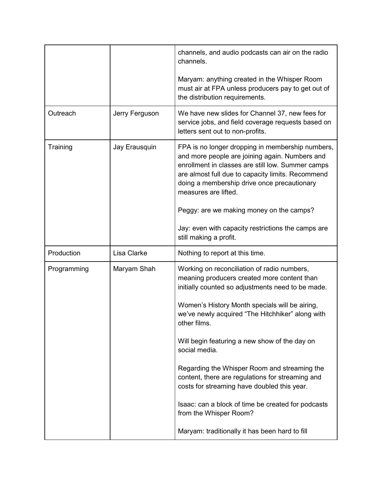|             |                | channels, and audio podcasts can air on the radio<br>channels.                                                                                                                                                                                                                      |
|-------------|----------------|-------------------------------------------------------------------------------------------------------------------------------------------------------------------------------------------------------------------------------------------------------------------------------------|
|             |                | Maryam: anything created in the Whisper Room<br>must air at FPA unless producers pay to get out of<br>the distribution requirements.                                                                                                                                                |
| Outreach    | Jerry Ferguson | We have new slides for Channel 37, new fees for<br>service jobs, and field coverage requests based on<br>letters sent out to non-profits.                                                                                                                                           |
| Training    | Jay Erausquin  | FPA is no longer dropping in membership numbers,<br>and more people are joining again. Numbers and<br>enrollment in classes are still low. Summer camps<br>are almost full due to capacity limits. Recommend<br>doing a membership drive once precautionary<br>measures are lifted. |
|             |                | Peggy: are we making money on the camps?                                                                                                                                                                                                                                            |
|             |                | Jay: even with capacity restrictions the camps are<br>still making a profit.                                                                                                                                                                                                        |
| Production  | Lisa Clarke    | Nothing to report at this time.                                                                                                                                                                                                                                                     |
| Programming | Maryam Shah    | Working on reconciliation of radio numbers,<br>meaning producers created more content than<br>initially counted so adjustments need to be made.                                                                                                                                     |
|             |                | Women's History Month specials will be airing,<br>we've newly acquired "The Hitchhiker" along with<br>other films.                                                                                                                                                                  |
|             |                | Will begin featuring a new show of the day on<br>social media.                                                                                                                                                                                                                      |
|             |                | Regarding the Whisper Room and streaming the<br>content, there are regulations for streaming and<br>costs for streaming have doubled this year.                                                                                                                                     |
|             |                | Isaac: can a block of time be created for podcasts<br>from the Whisper Room?                                                                                                                                                                                                        |
|             |                |                                                                                                                                                                                                                                                                                     |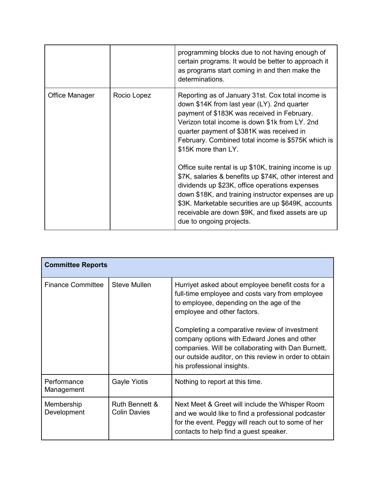|                |             | programming blocks due to not having enough of<br>certain programs. It would be better to approach it<br>as programs start coming in and then make the<br>determinations.                                                                                                                                                                                         |
|----------------|-------------|-------------------------------------------------------------------------------------------------------------------------------------------------------------------------------------------------------------------------------------------------------------------------------------------------------------------------------------------------------------------|
| Office Manager | Rocio Lopez | Reporting as of January 31st. Cox total income is<br>down \$14K from last year (LY). 2nd quarter<br>payment of \$183K was received in February.<br>Verizon total income is down \$1k from LY. 2nd<br>quarter payment of \$381K was received in<br>February. Combined total income is \$575K which is<br>\$15K more than LY.                                       |
|                |             | Office suite rental is up \$10K, training income is up<br>\$7K, salaries & benefits up \$74K, other interest and<br>dividends up \$23K, office operations expenses<br>down \$18K, and training instructor expenses are up<br>\$3K. Marketable securities are up \$649K, accounts<br>receivable are down \$9K, and fixed assets are up<br>due to ongoing projects. |

| <b>Committee Reports</b>  |                                       |                                                                                                                                                                                                                                            |
|---------------------------|---------------------------------------|--------------------------------------------------------------------------------------------------------------------------------------------------------------------------------------------------------------------------------------------|
| <b>Finance Committee</b>  | <b>Steve Mullen</b>                   | Hurriyet asked about employee benefit costs for a<br>full-time employee and costs vary from employee<br>to employee, depending on the age of the<br>employee and other factors.                                                            |
|                           |                                       | Completing a comparative review of investment<br>company options with Edward Jones and other<br>companies. Will be collaborating with Dan Burnett,<br>our outside auditor, on this review in order to obtain<br>his professional insights. |
| Performance<br>Management | <b>Gayle Yiotis</b>                   | Nothing to report at this time.                                                                                                                                                                                                            |
| Membership<br>Development | Ruth Bennett &<br><b>Colin Davies</b> | Next Meet & Greet will include the Whisper Room<br>and we would like to find a professional podcaster<br>for the event. Peggy will reach out to some of her<br>contacts to help find a guest speaker.                                      |